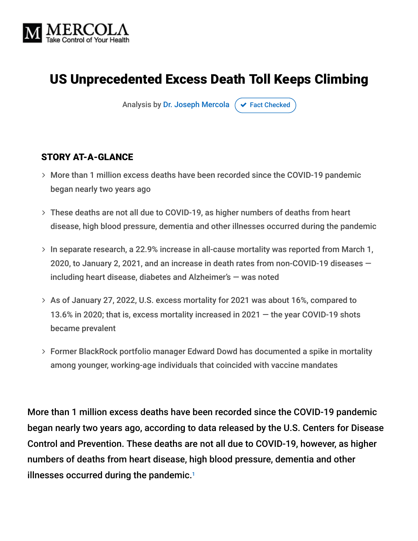

## US Unprecedented Excess Death Toll Keeps Climbing

Analysis by [Dr. Joseph Mercola](https://www.mercola.com/forms/background.htm)  $\sigma$  [Fact Checked](javascript:void(0))

#### STORY AT-A-GLANCE

- More than 1 million excess deaths have been recorded since the COVID-19 pandemic began nearly two years ago
- These deaths are not all due to COVID-19, as higher numbers of deaths from heart disease, high blood pressure, dementia and other illnesses occurred during the pandemic
- $>$  In separate research, a 22.9% increase in all-cause mortality was reported from March 1, 2020, to January 2, 2021, and an increase in death rates from non-COVID-19 diseases including heart disease, diabetes and Alzheimer's — was noted
- As of January 27, 2022, U.S. excess mortality for 2021 was about 16%, compared to 13.6% in 2020; that is, excess mortality increased in 2021 — the year COVID-19 shots became prevalent
- Former BlackRock portfolio manager Edward Dowd has documented a spike in mortality among younger, working-age individuals that coincided with vaccine mandates

More than 1 million excess deaths have been recorded since the COVID-19 pandemic began nearly two years ago, according to data released by the U.S. Centers for Disease Control and Prevention. These deaths are not all due to COVID-19, however, as higher numbers of deaths from heart disease, high blood pressure, dementia and other illnesses occurred during the pandemic. 1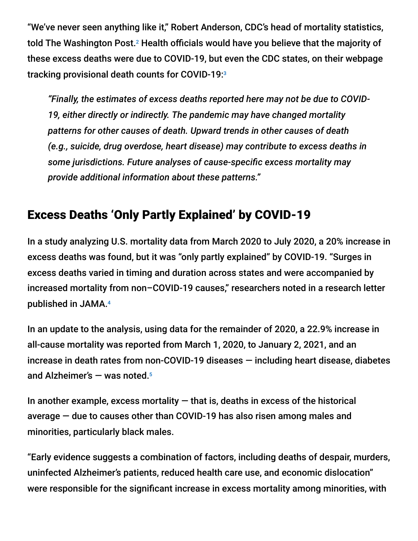"We've never seen anything like it," Robert Anderson, CDC's head of mortality statistics, told The Washington Post. $\textsuperscript{2}$  Health officials would have you believe that the majority of these excess deaths were due to COVID-19, but even the CDC states, on their webpage tracking provisional death counts for COVID-19: 3

*"Finally, the estimates of excess deaths reported here may not be due to COVID-19, either directly or indirectly. The pandemic may have changed mortality patterns for other causes of death. Upward trends in other causes of death (e.g., suicide, drug overdose, heart disease) may contribute to excess deaths in some jurisdictions. Future analyses of cause-specific excess mortality may provide additional information about these patterns."*

### Excess Deaths 'Only Partly Explained' by COVID-19

In a study analyzing U.S. mortality data from March 2020 to July 2020, a 20% increase in excess deaths was found, but it was "only partly explained" by COVID-19. "Surges in excess deaths varied in timing and duration across states and were accompanied by increased mortality from non–COVID-19 causes," researchers noted in a research letter published in JAMA. 4

In an update to the analysis, using data for the remainder of 2020, a 22.9% increase in all-cause mortality was reported from March 1, 2020, to January 2, 2021, and an increase in death rates from non-COVID-19 diseases — including heart disease, diabetes and Alzheimer's — was noted. 5

In another example, excess mortality  $-$  that is, deaths in excess of the historical average — due to causes other than COVID-19 has also risen among males and minorities, particularly black males.

"Early evidence suggests a combination of factors, including deaths of despair, murders, uninfected Alzheimer's patients, reduced health care use, and economic dislocation" were responsible for the significant increase in excess mortality among minorities, with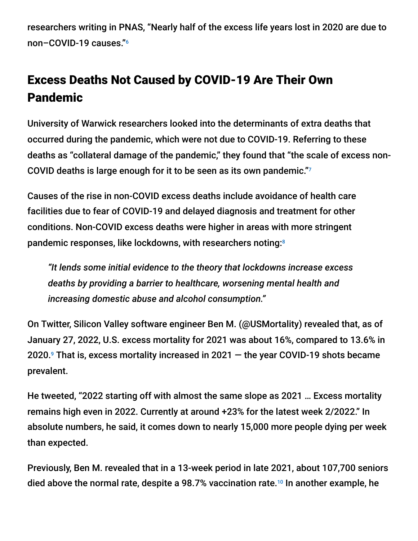researchers writing in PNAS, "Nearly half of the excess life years lost in 2020 are due to non–COVID-19 causes." 6

# Excess Deaths Not Caused by COVID-19 Are Their Own Pandemic

University of Warwick researchers looked into the determinants of extra deaths that occurred during the pandemic, which were not due to COVID-19. Referring to these deaths as "collateral damage of the pandemic," they found that "the scale of excess non-COVID deaths is large enough for it to be seen as its own pandemic." 7

Causes of the rise in non-COVID excess deaths include avoidance of health care facilities due to fear of COVID-19 and delayed diagnosis and treatment for other conditions. Non-COVID excess deaths were higher in areas with more stringent pandemic responses, like lockdowns, with researchers noting: 8

*"It lends some initial evidence to the theory that lockdowns increase excess deaths by providing a barrier to healthcare, worsening mental health and increasing domestic abuse and alcohol consumption."*

On Twitter, Silicon Valley software engineer Ben M. (@USMortality) revealed that, as of January 27, 2022, U.S. excess mortality for 2021 was about 16%, compared to 13.6% in 2020. $\,$  That is, excess mortality increased in 2021  $-$  the year COVID-19 shots became prevalent.

He tweeted, "2022 starting off with almost the same slope as 2021 … Excess mortality remains high even in 2022. Currently at around +23% for the latest week 2/2022." In absolute numbers, he said, it comes down to nearly 15,000 more people dying per week than expected.

Previously, Ben M. revealed that in a 13-week period in late 2021, about 107,700 seniors died above the normal rate, despite a 98.7% vaccination rate.<sup>10</sup> In another example, he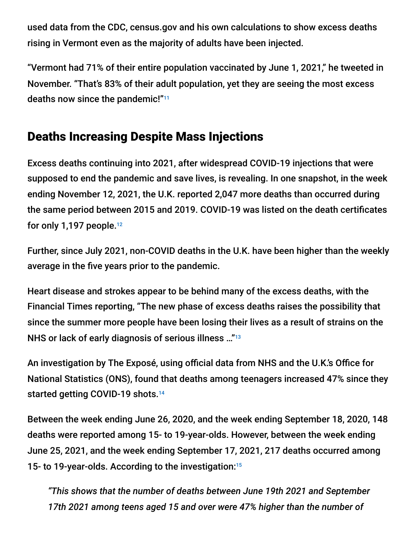used data from the CDC, census.gov and his own calculations to show excess deaths rising in Vermont even as the majority of adults have been injected.

"Vermont had 71% of their entire population vaccinated by June 1, 2021," he tweeted in November. "That's 83% of their adult population, yet they are seeing the most excess deaths now since the pandemic!" 11

### Deaths Increasing Despite Mass Injections

Excess deaths continuing into 2021, after widespread COVID-19 injections that were supposed to end the pandemic and save lives, is revealing. In one snapshot, in the week ending November 12, 2021, the U.K. reported 2,047 more deaths than occurred during the same period between 2015 and 2019. COVID-19 was listed on the death certificates for only 1,197 people. 12

Further, since July 2021, non-COVID deaths in the U.K. have been higher than the weekly average in the five years prior to the pandemic.

Heart disease and strokes appear to be behind many of the excess deaths, with the Financial Times reporting, "The new phase of excess deaths raises the possibility that since the summer more people have been losing their lives as a result of strains on the NHS or lack of early diagnosis of serious illness …" 13

An investigation by The Exposé, using official data from NHS and the U.K.'s Office for National Statistics (ONS), found that deaths among teenagers increased 47% since they started getting COVID-19 shots. 14

Between the week ending June 26, 2020, and the week ending September 18, 2020, 148 deaths were reported among 15- to 19-year-olds. However, between the week ending June 25, 2021, and the week ending September 17, 2021, 217 deaths occurred among 15- to 19-year-olds. According to the investigation: 15

*"This shows that the number of deaths between June 19th 2021 and September 17th 2021 among teens aged 15 and over were 47% higher than the number of*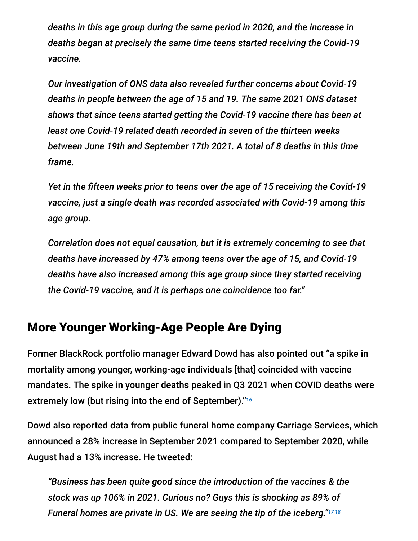*deaths in this age group during the same period in 2020, and the increase in deaths began at precisely the same time teens started receiving the Covid-19 vaccine.*

*Our investigation of ONS data also revealed further concerns about Covid-19 deaths in people between the age of 15 and 19. The same 2021 ONS dataset shows that since teens started getting the Covid-19 vaccine there has been at least one Covid-19 related death recorded in seven of the thirteen weeks between June 19th and September 17th 2021. A total of 8 deaths in this time frame.*

*Yet in the fifteen weeks prior to teens over the age of 15 receiving the Covid-19 vaccine, just a single death was recorded associated with Covid-19 among this age group.*

*Correlation does not equal causation, but it is extremely concerning to see that deaths have increased by 47% among teens over the age of 15, and Covid-19 deaths have also increased among this age group since they started receiving the Covid-19 vaccine, and it is perhaps one coincidence too far."*

### More Younger Working-Age People Are Dying

Former BlackRock portfolio manager Edward Dowd has also pointed out "a spike in mortality among younger, working-age individuals [that] coincided with vaccine mandates. The spike in younger deaths peaked in Q3 2021 when COVID deaths were extremely low (but rising into the end of September)." 16

Dowd also reported data from public funeral home company Carriage Services, which announced a 28% increase in September 2021 compared to September 2020, while August had a 13% increase. He tweeted:

*"Business has been quite good since the introduction of the vaccines & the stock was up 106% in 2021. Curious no? Guys this is shocking as 89% of Funeral homes are private in US. We are seeing the tip of the iceberg." 17,18*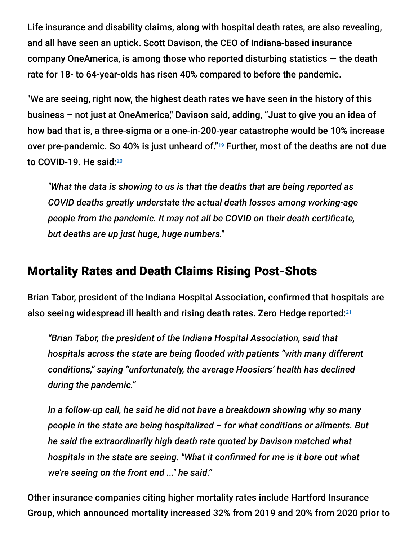Life insurance and disability claims, along with hospital death rates, are also revealing, and all have seen an uptick. Scott Davison, the CEO of Indiana-based insurance company OneAmerica, is among those who reported disturbing statistics  $-$  the death rate for 18- to 64-year-olds has risen 40% compared to before the pandemic.

"We are seeing, right now, the highest death rates we have seen in the history of this business – not just at OneAmerica," Davison said, adding, "Just to give you an idea of how bad that is, a three-sigma or a one-in-200-year catastrophe would be 10% increase over pre-pandemic. So 40% is just unheard of."<sup>19</sup> Further, most of the deaths are not due to COVID-19. He said: 20

*"What the data is showing to us is that the deaths that are being reported as COVID deaths greatly understate the actual death losses among working-age people from the pandemic. It may not all be COVID on their death certificate, but deaths are up just huge, huge numbers."*

#### Mortality Rates and Death Claims Rising Post-Shots

Brian Tabor, president of the Indiana Hospital Association, confirmed that hospitals are also seeing widespread ill health and rising death rates. Zero Hedge reported:<sup>21</sup>

*"Brian Tabor, the president of the Indiana Hospital Association, said that hospitals across the state are being flooded with patients "with many different conditions," saying "unfortunately, the average Hoosiers' health has declined during the pandemic."*

*In a follow-up call, he said he did not have a breakdown showing why so many people in the state are being hospitalized – for what conditions or ailments. But he said the extraordinarily high death rate quoted by Davison matched what hospitals in the state are seeing. "What it confirmed for me is it bore out what we're seeing on the front end ..." he said."*

Other insurance companies citing higher mortality rates include Hartford Insurance Group, which announced mortality increased 32% from 2019 and 20% from 2020 prior to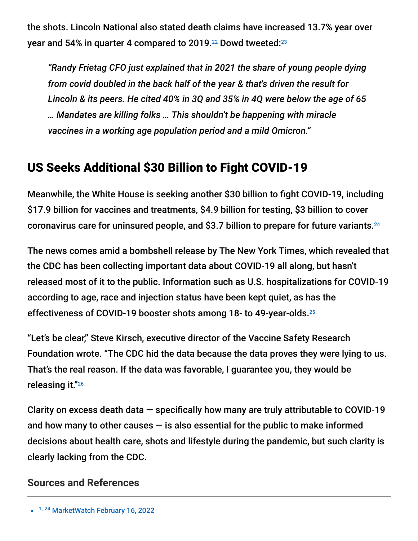the shots. Lincoln National also stated death claims have increased 13.7% year over year and 54% in quarter 4 compared to 2019. $^{22}$  Dowd tweeted: $^{23}$ 

*"Randy Frietag CFO just explained that in 2021 the share of young people dying from covid doubled in the back half of the year & that's driven the result for Lincoln & its peers. He cited 40% in 3Q and 35% in 4Q were below the age of 65 … Mandates are killing folks … This shouldn't be happening with miracle vaccines in a working age population period and a mild Omicron."*

#### US Seeks Additional \$30 Billion to Fight COVID-19

Meanwhile, the White House is seeking another \$30 billion to fight COVID-19, including \$17.9 billion for vaccines and treatments, \$4.9 billion for testing, \$3 billion to cover coronavirus care for uninsured people, and \$3.7 billion to prepare for future variants. 24

The news comes amid a bombshell release by The New York Times, which revealed that the CDC has been collecting important data about COVID-19 all along, but hasn't released most of it to the public. Information such as U.S. hospitalizations for COVID-19 according to age, race and injection status have been kept quiet, as has the effectiveness of COVID-19 booster shots among 18- to 49-year-olds. 25

"Let's be clear," Steve Kirsch, executive director of the Vaccine Safety Research Foundation wrote. "The CDC hid the data because the data proves they were lying to us. That's the real reason. If the data was favorable, I guarantee you, they would be releasing it." 26

Clarity on excess death data — specifically how many are truly attributable to COVID-19 and how many to other causes  $-$  is also essential for the public to make informed decisions about health care, shots and lifestyle during the pandemic, but such clarity is clearly lacking from the CDC.

#### **Sources and References**

<sup>1, 24</sup> [MarketWatch February 16, 2022](https://www.marketwatch.com/story/u-s-excess-death-toll-has-climbed-above-one-million-during-the-pandemic-weve-never-seen-anything-like-it-says-cdc-official-11645025606?mod=home-page)